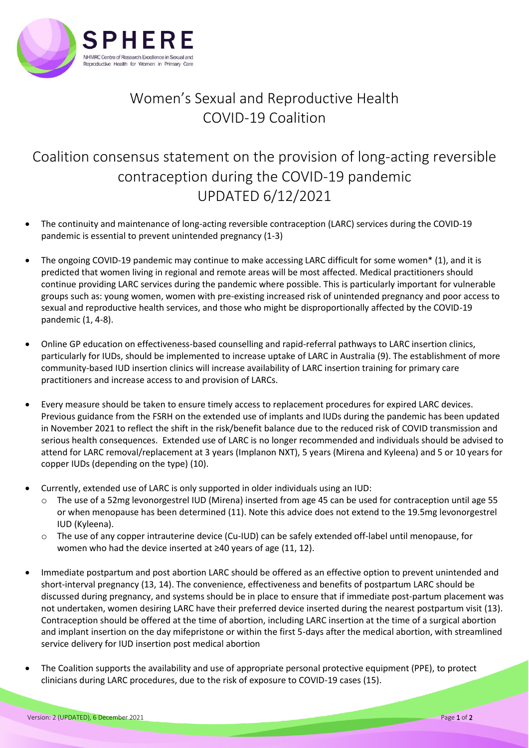

## Women's Sexual and Reproductive Health COVID-19 Coalition

## Coalition consensus statement on the provision of long-acting reversible contraception during the COVID-19 pandemic UPDATED 6/12/2021

- The continuity and maintenance of long-acting reversible contraception (LARC) services during the COVID-19 pandemic is essential to prevent unintended pregnancy (1-3)
- The ongoing COVID-19 pandemic may continue to make accessing LARC difficult for some women\* (1), and it is predicted that women living in regional and remote areas will be most affected. Medical practitioners should continue providing LARC services during the pandemic where possible. This is particularly important for vulnerable groups such as: young women, women with pre-existing increased risk of unintended pregnancy and poor access to sexual and reproductive health services, and those who might be disproportionally affected by the COVID-19 pandemic (1, 4-8).
- Online GP education on effectiveness-based counselling and rapid-referral pathways to LARC insertion clinics, particularly for IUDs, should be implemented to increase uptake of LARC in Australia (9). The establishment of more community-based IUD insertion clinics will increase availability of LARC insertion training for primary care practitioners and increase access to and provision of LARCs.
- Every measure should be taken to ensure timely access to replacement procedures for expired LARC devices. Previous guidance from the FSRH on the extended use of implants and IUDs during the pandemic has been updated in November 2021 to reflect the shift in the risk/benefit balance due to the reduced risk of COVID transmission and serious health consequences. Extended use of LARC is no longer recommended and individuals should be advised to attend for LARC removal/replacement at 3 years (Implanon NXT), 5 years (Mirena and Kyleena) and 5 or 10 years for copper IUDs (depending on the type) (10).
- Currently, extended use of LARC is only supported in older individuals using an IUD:
	- The use of a 52mg levonorgestrel IUD (Mirena) inserted from age 45 can be used for contraception until age 55 or when menopause has been determined (11). Note this advice does not extend to the 19.5mg levonorgestrel IUD (Kyleena).
	- o The use of any copper intrauterine device (Cu-IUD) can be safely extended off-label until menopause, for women who had the device inserted at ≥40 years of age (11, 12).
- Immediate postpartum and post abortion LARC should be offered as an effective option to prevent unintended and short-interval pregnancy (13, 14). The convenience, effectiveness and benefits of postpartum LARC should be discussed during pregnancy, and systems should be in place to ensure that if immediate post-partum placement was not undertaken, women desiring LARC have their preferred device inserted during the nearest postpartum visit (13). Contraception should be offered at the time of abortion, including LARC insertion at the time of a surgical abortion and implant insertion on the day mifepristone or within the first 5-days after the medical abortion, with streamlined service delivery for IUD insertion post medical abortion
- The Coalition supports the availability and use of appropriate personal protective equipment (PPE), to protect clinicians during LARC procedures, due to the risk of exposure to COVID-19 cases (15).